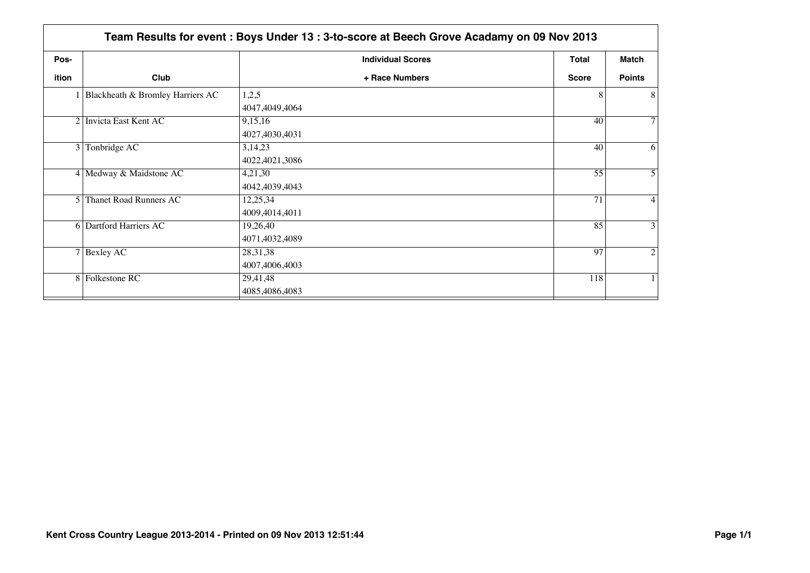|                 | Team Results for event : Boys Under 13 : 3-to-score at Beech Grove Acadamy on 09 Nov 2013 |                          |              |                 |  |
|-----------------|-------------------------------------------------------------------------------------------|--------------------------|--------------|-----------------|--|
| Pos-            |                                                                                           | <b>Individual Scores</b> | <b>Total</b> | <b>Match</b>    |  |
| ition           | Club                                                                                      | + Race Numbers           | <b>Score</b> | <b>Points</b>   |  |
|                 | 1 Blackheath & Bromley Harriers AC                                                        | 1,2,5                    | 8            | 8 <sup>1</sup>  |  |
|                 |                                                                                           | 4047,4049,4064           |              |                 |  |
|                 | 2 Invicta East Kent AC                                                                    | 9,15,16                  | 40           | 7 <sup>1</sup>  |  |
|                 |                                                                                           | 4027,4030,4031           |              |                 |  |
| $\vert 3 \vert$ | Tonbridge AC                                                                              | 3,14,23                  | 40           | 6               |  |
|                 |                                                                                           | 4022,4021,3086           |              |                 |  |
|                 | 4 Medway & Maidstone AC                                                                   | 4,21,30                  | 55           | 5 <sup>1</sup>  |  |
|                 |                                                                                           | 4042,4039,4043           |              |                 |  |
| $\overline{5}$  | <b>Thanet Road Runners AC</b>                                                             | 12,25,34                 | 71           | $\vert 4 \vert$ |  |
|                 |                                                                                           | 4009,4014,4011           |              |                 |  |
|                 | 6 Dartford Harriers AC                                                                    | 19,26,40                 | 85           | $\overline{3}$  |  |
|                 |                                                                                           | 4071,4032,4089           |              |                 |  |
|                 | $7$ Bexley AC                                                                             | 28, 31, 38               | 97           | $\overline{2}$  |  |
|                 |                                                                                           | 4007,4006,4003           |              |                 |  |
|                 | 8 Folkestone RC                                                                           | 29,41,48                 | 118          |                 |  |
|                 |                                                                                           | 4085,4086,4083           |              |                 |  |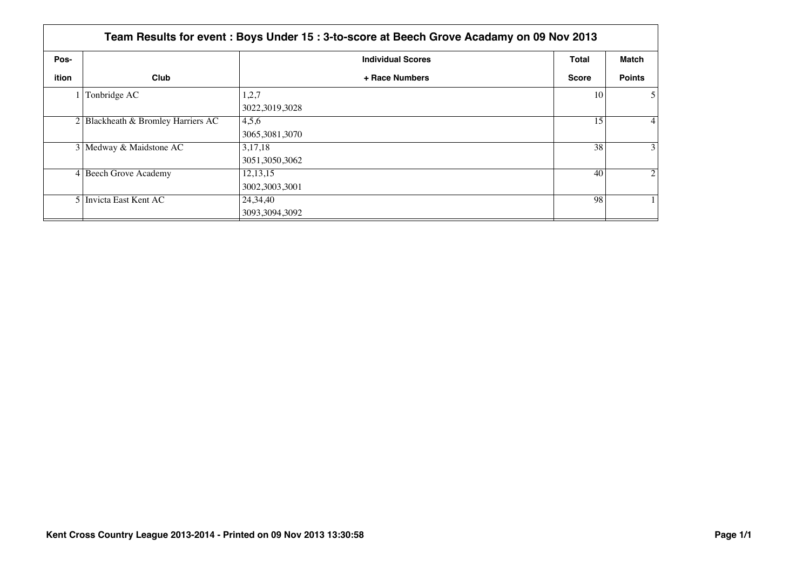|       | Team Results for event : Boys Under 15 : 3-to-score at Beech Grove Acadamy on 09 Nov 2013 |                              |              |                   |  |  |
|-------|-------------------------------------------------------------------------------------------|------------------------------|--------------|-------------------|--|--|
| Pos-  |                                                                                           | <b>Individual Scores</b>     | Total        | Match             |  |  |
| ition | Club                                                                                      | + Race Numbers               | <b>Score</b> | <b>Points</b>     |  |  |
|       | Tonbridge AC                                                                              | 1,2,7<br>3022,3019,3028      | 10           | 5 <sup>1</sup>    |  |  |
|       | 2 Blackheath & Bromley Harriers AC                                                        | 4,5,6<br>3065,3081,3070      | 15           | $\vert 4 \vert$   |  |  |
|       | 3 Medway & Maidstone AC                                                                   | 3,17,18<br>3051,3050,3062    | 38           | $\lvert 3 \rvert$ |  |  |
|       | 4 Beech Grove Academy                                                                     | 12, 13, 15<br>3002,3003,3001 | 40           | $\overline{2}$    |  |  |
|       | 5 Invicta East Kent AC                                                                    | 24,34,40<br>3093,3094,3092   | 98           |                   |  |  |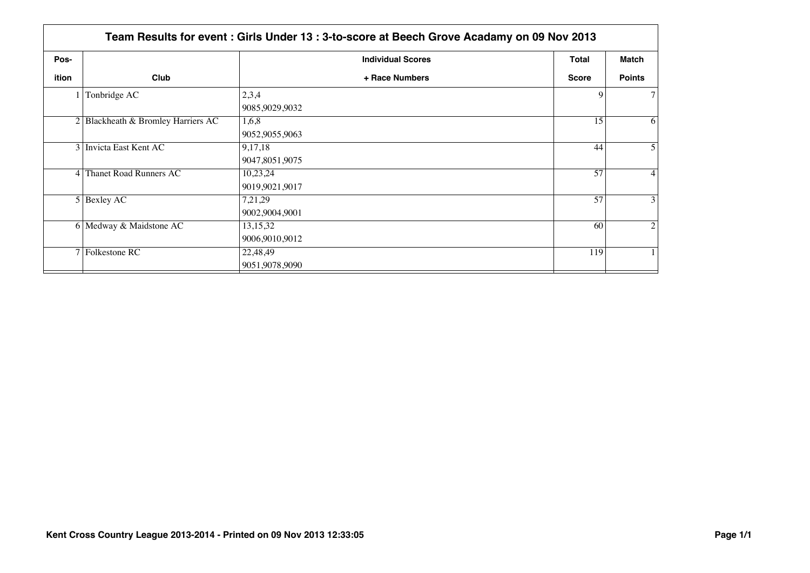|                | Team Results for event: Girls Under 13: 3-to-score at Beech Grove Acadamy on 09 Nov 2013 |                              |              |                 |  |
|----------------|------------------------------------------------------------------------------------------|------------------------------|--------------|-----------------|--|
| Pos-           |                                                                                          | <b>Individual Scores</b>     | <b>Total</b> | Match           |  |
| ition          | Club                                                                                     | + Race Numbers               | <b>Score</b> | <b>Points</b>   |  |
|                | Tonbridge AC                                                                             | 2,3,4<br>9085,9029,9032      | 9            | 7 <sup>1</sup>  |  |
|                | $2 $ Blackheath & Bromley Harriers AC                                                    | 1,6,8<br>9052,9055,9063      | 15           | 6               |  |
|                | 3 Invicta East Kent AC                                                                   | 9,17,18<br>9047,8051,9075    | 44           | 5 <sup>1</sup>  |  |
| 4 <sup>1</sup> | Thanet Road Runners AC                                                                   | 10,23,24<br>9019,9021,9017   | 57           | $\vert 4 \vert$ |  |
|                | $5$ Bexley AC                                                                            | 7,21,29<br>9002,9004,9001    | 57           | 3 <sup>1</sup>  |  |
|                | 6 Medway & Maidstone AC                                                                  | 13, 15, 32<br>9006,9010,9012 | 60           | $\overline{2}$  |  |
|                | 7 Folkestone RC                                                                          | 22,48,49<br>9051,9078,9090   | 119          | 1 <sup>1</sup>  |  |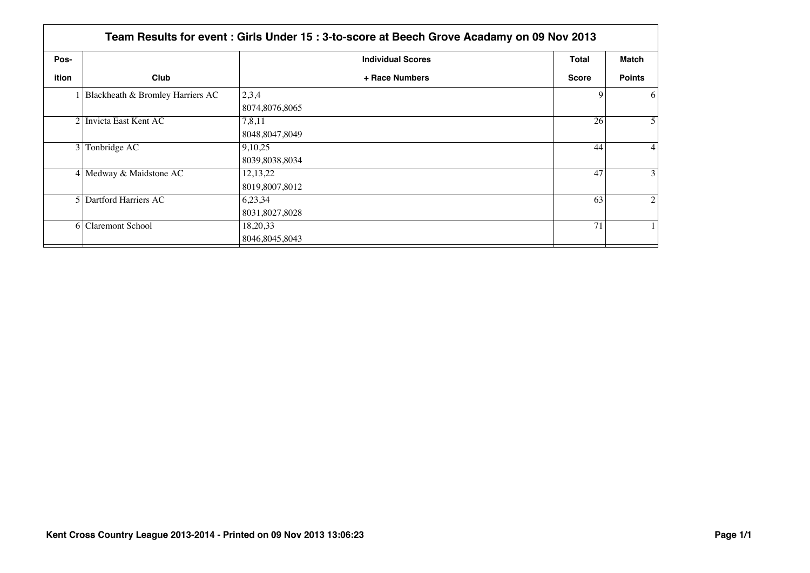|                | Team Results for event: Girls Under 15: 3-to-score at Beech Grove Acadamy on 09 Nov 2013 |                                |              |                 |  |
|----------------|------------------------------------------------------------------------------------------|--------------------------------|--------------|-----------------|--|
| Pos-           |                                                                                          | <b>Individual Scores</b>       | Total        | Match           |  |
| <b>ition</b>   | Club                                                                                     | + Race Numbers                 | <b>Score</b> | <b>Points</b>   |  |
|                | 1 Blackheath & Bromley Harriers AC                                                       | 2,3,4<br>8074,8076,8065        | 9            | 6               |  |
|                | 2 Invicta East Kent AC                                                                   | 7,8,11<br>8048, 8047, 8049     | 26           | 5 <sup>1</sup>  |  |
| $\overline{3}$ | Tonbridge AC                                                                             | 9,10,25<br>8039,8038,8034      | 44           | $\vert 4 \vert$ |  |
|                | 4 Medway & Maidstone AC                                                                  | 12, 13, 22<br>8019,8007,8012   | 47           | 3 <sup>1</sup>  |  |
|                | 5 Dartford Harriers AC                                                                   | 6,23,34<br>8031,8027,8028      | 63           | $\overline{2}$  |  |
| <sup>6</sup>   | <b>Claremont School</b>                                                                  | 18, 20, 33<br>8046, 8045, 8043 | 71           |                 |  |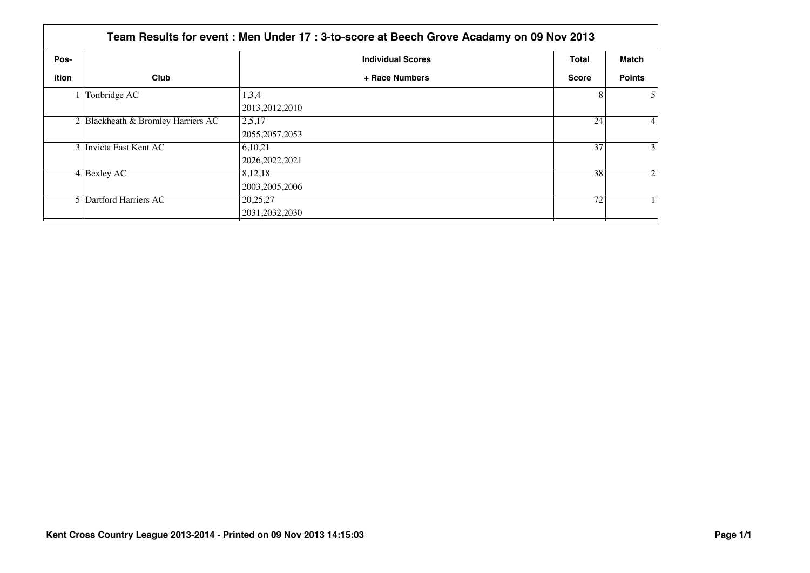|       | Team Results for event : Men Under 17 : 3-to-score at Beech Grove Acadamy on 09 Nov 2013 |                              |              |                   |  |  |
|-------|------------------------------------------------------------------------------------------|------------------------------|--------------|-------------------|--|--|
| Pos-  |                                                                                          | <b>Individual Scores</b>     | Total        | Match             |  |  |
| ition | Club                                                                                     | + Race Numbers               | <b>Score</b> | <b>Points</b>     |  |  |
|       | Tonbridge AC                                                                             | 1,3,4<br>2013, 2012, 2010    | 8            | 5 <sup>1</sup>    |  |  |
|       | 2 Blackheath & Bromley Harriers AC                                                       | 2,5,17<br>2055, 2057, 2053   | 24           | $\vert 4 \vert$   |  |  |
|       | 3 Invicta East Kent AC                                                                   | 6,10,21<br>2026, 2022, 2021  | 37           | $\lvert 3 \rvert$ |  |  |
|       | $4$ Bexley AC                                                                            | 8,12,18<br>2003, 2005, 2006  | 38           | $\overline{2}$    |  |  |
|       | 5 Dartford Harriers AC                                                                   | 20,25,27<br>2031, 2032, 2030 | 72           |                   |  |  |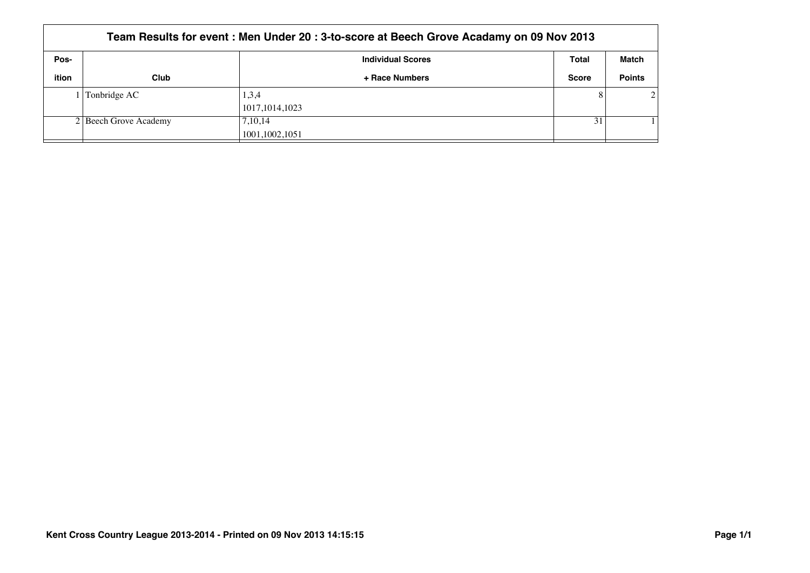| Team Results for event : Men Under 20 : 3-to-score at Beech Grove Acadamy on 09 Nov 2013 |                       |                          |              |               |  |  |
|------------------------------------------------------------------------------------------|-----------------------|--------------------------|--------------|---------------|--|--|
| Pos-                                                                                     |                       | <b>Individual Scores</b> | Total        | Match         |  |  |
| ition                                                                                    | Club                  | + Race Numbers           | <b>Score</b> | <b>Points</b> |  |  |
|                                                                                          | Tonbridge AC          | 1,3,4                    |              | $\mathcal{D}$ |  |  |
|                                                                                          |                       | 1017, 1014, 1023         |              |               |  |  |
|                                                                                          | 2 Beech Grove Academy | 7,10,14                  | 31           |               |  |  |
|                                                                                          |                       | 1001,1002,1051           |              |               |  |  |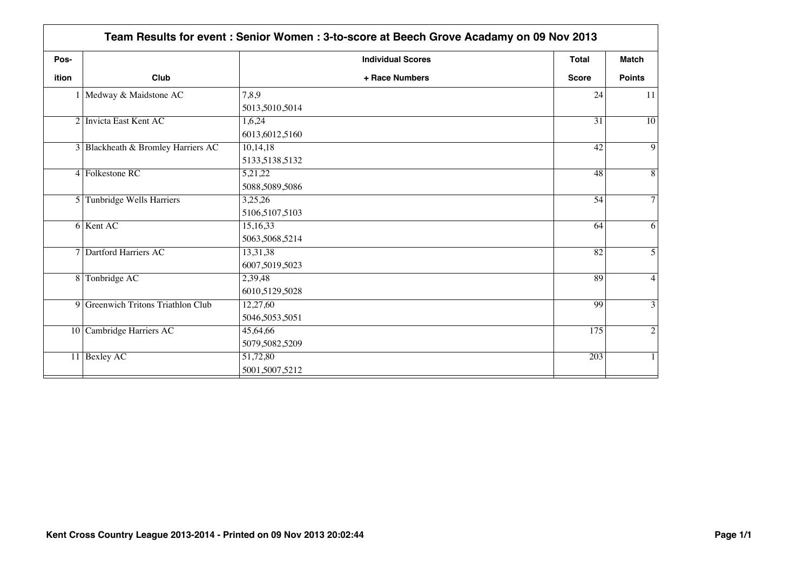|                | Team Results for event: Senior Women: 3-to-score at Beech Grove Acadamy on 09 Nov 2013 |                            |              |                 |
|----------------|----------------------------------------------------------------------------------------|----------------------------|--------------|-----------------|
| Pos-           |                                                                                        | <b>Individual Scores</b>   | <b>Total</b> | <b>Match</b>    |
| <b>ition</b>   | Club                                                                                   | + Race Numbers             | <b>Score</b> | <b>Points</b>   |
|                | 1 Medway & Maidstone AC                                                                | 7,8,9<br>5013,5010,5014    | 24           | 11              |
|                | 2 Invicta East Kent AC                                                                 | 1,6,24<br>6013,6012,5160   | 31           | $\overline{10}$ |
|                | 3 Blackheath & Bromley Harriers AC                                                     | 10,14,18<br>5133,5138,5132 | 42           | $\overline{9}$  |
|                | 4 Folkestone RC                                                                        | 5,21,22<br>5088,5089,5086  | 48           | $\overline{8}$  |
| 5 <sup>1</sup> | Tunbridge Wells Harriers                                                               | 3,25,26<br>5106,5107,5103  | 54           | $\tau$          |
|                | 6 Kent AC                                                                              | 15,16,33<br>5063,5068,5214 | 64           | 6               |
|                | 7 Dartford Harriers AC                                                                 | 13,31,38<br>6007,5019,5023 | 82           | $\overline{5}$  |
|                | 8 Tonbridge AC                                                                         | 2,39,48<br>6010,5129,5028  | 89           | $\overline{4}$  |
|                | 9 Greenwich Tritons Triathlon Club                                                     | 12,27,60<br>5046,5053,5051 | 99           | $\overline{3}$  |
|                | 10 Cambridge Harriers AC                                                               | 45,64,66<br>5079,5082,5209 | 175          | $\overline{2}$  |
|                | 11 Bexley AC                                                                           | 51,72,80<br>5001,5007,5212 | 203          | $\mathbf{1}$    |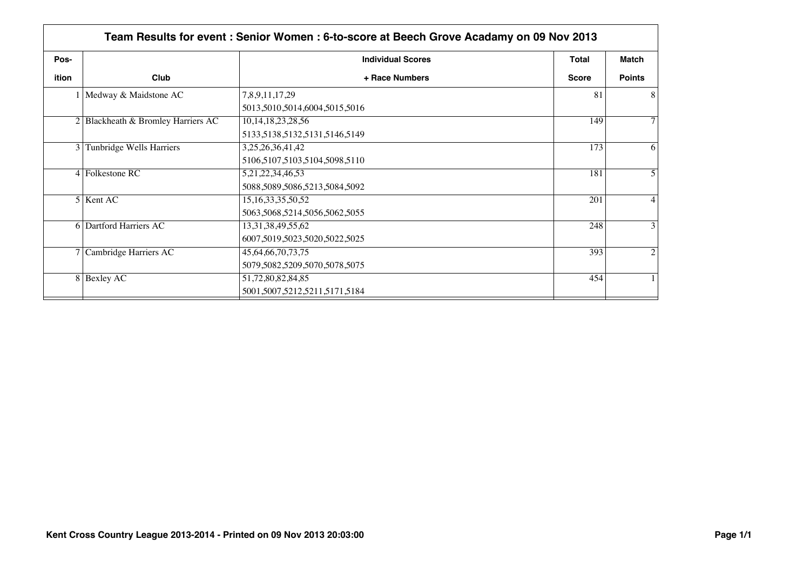|       | Team Results for event : Senior Women : 6-to-score at Beech Grove Acadamy on 09 Nov 2013 |                               |              |                |
|-------|------------------------------------------------------------------------------------------|-------------------------------|--------------|----------------|
| Pos-  |                                                                                          | <b>Individual Scores</b>      | Total        | <b>Match</b>   |
| ition | Club                                                                                     | + Race Numbers                | <b>Score</b> | <b>Points</b>  |
|       | Medway & Maidstone AC                                                                    | 7,8,9,11,17,29                | 81           | 8              |
|       |                                                                                          | 5013,5010,5014,6004,5015,5016 |              |                |
|       | $2$ Blackheath & Bromley Harriers AC                                                     | 10, 14, 18, 23, 28, 56        | 149          | $\tau$         |
|       |                                                                                          | 5133,5138,5132,5131,5146,5149 |              |                |
| 3 I   | Tunbridge Wells Harriers                                                                 | 3,25,26,36,41,42              | 173          | 6              |
|       |                                                                                          | 5106,5107,5103,5104,5098,5110 |              |                |
|       | $4$ Folkestone RC                                                                        | 5,21,22,34,46,53              | 181          | 5              |
|       |                                                                                          | 5088,5089,5086,5213,5084,5092 |              |                |
|       | 5 Kent AC                                                                                | 15, 16, 33, 35, 50, 52        | 201          | $\overline{4}$ |
|       |                                                                                          | 5063,5068,5214,5056,5062,5055 |              |                |
|       | 6 Dartford Harriers AC                                                                   | 13, 31, 38, 49, 55, 62        | 248          | 3              |
|       |                                                                                          | 6007,5019,5023,5020,5022,5025 |              |                |
|       | 7 Cambridge Harriers AC                                                                  | 45, 64, 66, 70, 73, 75        | 393          | $\overline{2}$ |
|       |                                                                                          | 5079,5082,5209,5070,5078,5075 |              |                |
|       | 8 Bexley AC                                                                              | 51,72,80,82,84,85             | 454          |                |
|       |                                                                                          | 5001,5007,5212,5211,5171,5184 |              |                |